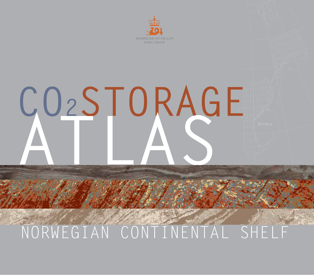

# CO2STORAGE

## NORWEGIAN CONTINENTAL SHELF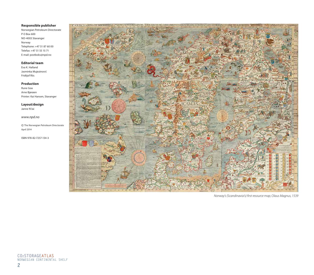#### **Responsible publisher**

Norwegian Petroleum Directorate P O Box 600 NO-4003 Stavanger Norway Telephone: +47 51 87 60 00 Telefax: +47 51 55 15 71 E-mail: postboks@npd.no

#### **Editorial team**

Eva K. Halland Jasminka Mujezinović Fridtjof Riis

#### **Production**

Rune Goa Arne Bjørøen Printer: Kai Hansen, Stavanger

**Layout/design** Janne N'Jai

*www.npd.no*

© The Norwegian Petroleum Directorate April 2014

ISBN 978-82-7257-134-3



*Norway's (Scandinavia's) first resource map, Olaus Magnus, 1539*